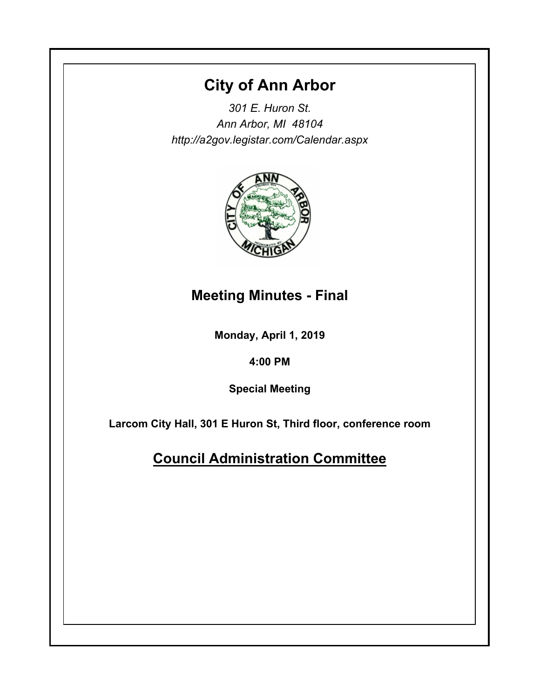# **City of Ann Arbor**

*301 E. Huron St. Ann Arbor, MI 48104 http://a2gov.legistar.com/Calendar.aspx*



## **Meeting Minutes - Final**

**Monday, April 1, 2019**

**4:00 PM**

**Special Meeting**

**Larcom City Hall, 301 E Huron St, Third floor, conference room**

**Council Administration Committee**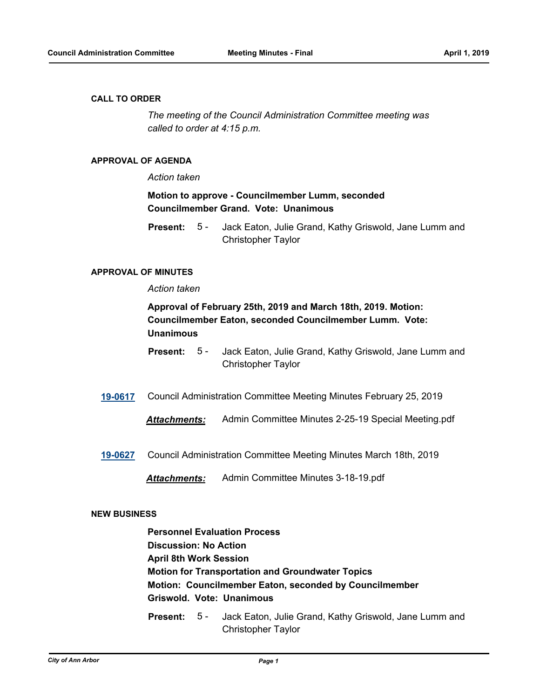## **CALL TO ORDER**

*The meeting of the Council Administration Committee meeting was called to order at 4:15 p.m.*

## **APPROVAL OF AGENDA**

## *Action taken*

## **Motion to approve - Councilmember Lumm, seconded Councilmember Grand. Vote: Unanimous**

Jack Eaton, Julie Grand, Kathy Griswold, Jane Lumm and Christopher Taylor **Present:** 5 -

## **APPROVAL OF MINUTES**

## *Action taken*

## **Approval of February 25th, 2019 and March 18th, 2019. Motion: Councilmember Eaton, seconded Councilmember Lumm. Vote: Unanimous**

- Jack Eaton, Julie Grand, Kathy Griswold, Jane Lumm and Christopher Taylor **Present:** 5 -
- **[19-0617](http://a2gov.legistar.com/gateway.aspx?M=L&ID=22309)** Council Administration Committee Meeting Minutes February 25, 2019
	- *Attachments:* Admin Committee Minutes 2-25-19 Special Meeting.pdf
- **[19-0627](http://a2gov.legistar.com/gateway.aspx?M=L&ID=22319)** Council Administration Committee Meeting Minutes March 18th, 2019
	- *Attachments:* Admin Committee Minutes 3-18-19.pdf

## **NEW BUSINESS**

**Personnel Evaluation Process Discussion: No Action April 8th Work Session Motion for Transportation and Groundwater Topics Motion: Councilmember Eaton, seconded by Councilmember Griswold. Vote: Unanimous**

Jack Eaton, Julie Grand, Kathy Griswold, Jane Lumm and Christopher Taylor **Present:** 5 -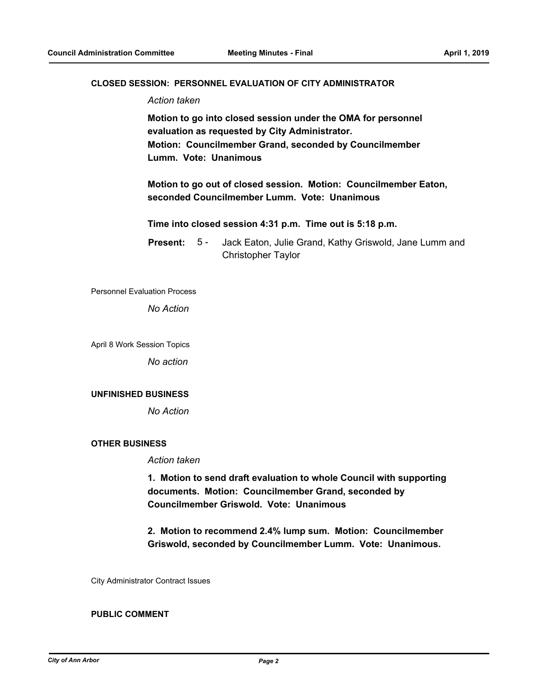## **CLOSED SESSION: PERSONNEL EVALUATION OF CITY ADMINISTRATOR**

*Action taken*

**Motion to go into closed session under the OMA for personnel evaluation as requested by City Administrator. Motion: Councilmember Grand, seconded by Councilmember Lumm. Vote: Unanimous**

**Motion to go out of closed session. Motion: Councilmember Eaton, seconded Councilmember Lumm. Vote: Unanimous**

**Time into closed session 4:31 p.m. Time out is 5:18 p.m.**

Jack Eaton, Julie Grand, Kathy Griswold, Jane Lumm and Christopher Taylor **Present:** 5 -

Personnel Evaluation Process

*No Action*

April 8 Work Session Topics

*No action*

#### **UNFINISHED BUSINESS**

*No Action*

## **OTHER BUSINESS**

*Action taken*

**1. Motion to send draft evaluation to whole Council with supporting documents. Motion: Councilmember Grand, seconded by Councilmember Griswold. Vote: Unanimous**

**2. Motion to recommend 2.4% lump sum. Motion: Councilmember Griswold, seconded by Councilmember Lumm. Vote: Unanimous.**

City Administrator Contract Issues

## **PUBLIC COMMENT**